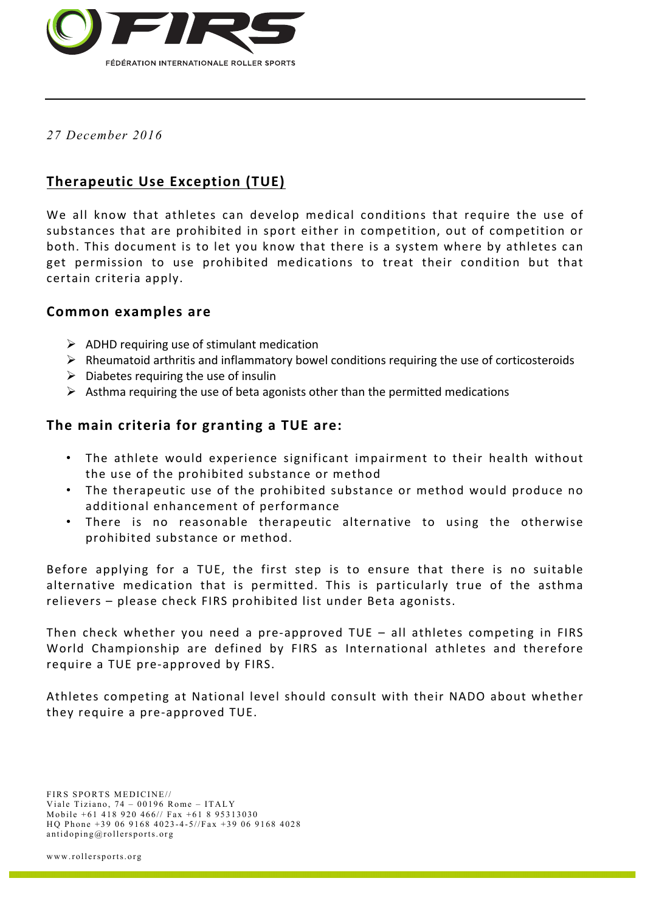

*27 December 2016*

# **Therapeutic Use Exception (TUE)**

We all know that athletes can develop medical conditions that require the use of substances that are prohibited in sport either in competition, out of competition or both. This document is to let you know that there is a system where by athletes can get permission to use prohibited medications to treat their condition but that certain criteria apply.

### **Common examples are**

- $\triangleright$  ADHD requiring use of stimulant medication
- $\triangleright$  Rheumatoid arthritis and inflammatory bowel conditions requiring the use of corticosteroids
- $\triangleright$  Diabetes requiring the use of insulin
- $\triangleright$  Asthma requiring the use of beta agonists other than the permitted medications

## The main criteria for granting a TUE are:

- The athlete would experience significant impairment to their health without the use of the prohibited substance or method
- The therapeutic use of the prohibited substance or method would produce no additional enhancement of performance
- There is no reasonable therapeutic alternative to using the otherwise prohibited substance or method.

Before applying for a TUE, the first step is to ensure that there is no suitable alternative medication that is permitted. This is particularly true of the asthma relievers – please check FIRS prohibited list under Beta agonists.

Then check whether you need a pre-approved TUE  $-$  all athletes competing in FIRS World Championship are defined by FIRS as International athletes and therefore require a TUE pre-approved by FIRS.

Athletes competing at National level should consult with their NADO about whether they require a pre-approved TUE.

FIRS SPORTS MEDICINE// Viale Tiziano, 74 – 00196 Rome – ITALY Mobile +61 418 920 466// Fax +61 8 95313030 HQ Phone +39 06 9168 4023-4-5//Fax +39 06 9168 4028 antidoping@rollersports.org

www.rollersports.org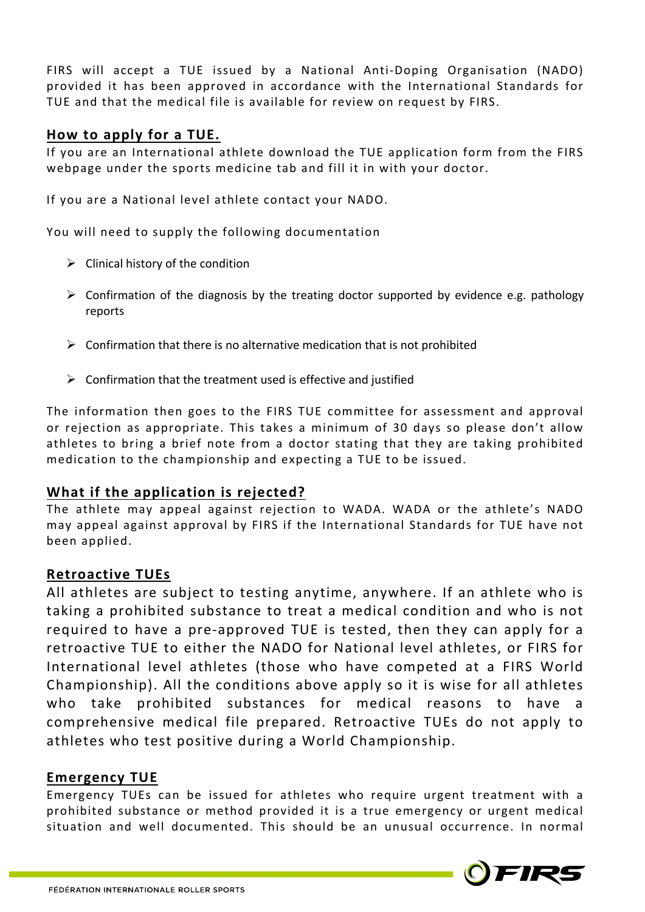FIRS will accept a TUE issued by a National Anti-Doping Organisation (NADO) provided it has been approved in accordance with the International Standards for TUE and that the medical file is available for review on request by FIRS.

### **How to apply for a TUE.**

If you are an International athlete download the TUE application form from the FIRS webpage under the sports medicine tab and fill it in with your doctor.

If you are a National level athlete contact your NADO.

You will need to supply the following documentation

- $\triangleright$  Clinical history of the condition
- $\triangleright$  Confirmation of the diagnosis by the treating doctor supported by evidence e.g. pathology reports
- $\triangleright$  Confirmation that there is no alternative medication that is not prohibited
- $\triangleright$  Confirmation that the treatment used is effective and justified

The information then goes to the FIRS TUE committee for assessment and approval or rejection as appropriate. This takes a minimum of 30 days so please don't allow athletes to bring a brief note from a doctor stating that they are taking prohibited medication to the championship and expecting a TUE to be issued.

### **What if the application is rejected?**

The athlete may appeal against rejection to WADA. WADA or the athlete's NADO may appeal against approval by FIRS if the International Standards for TUE have not been applied.

### **Retroactive TUEs**

All athletes are subject to testing anytime, anywhere. If an athlete who is taking a prohibited substance to treat a medical condition and who is not required to have a pre-approved TUE is tested, then they can apply for a retroactive TUE to either the NADO for National level athletes, or FIRS for International level athletes (those who have competed at a FIRS World Championship). All the conditions above apply so it is wise for all athletes who take prohibited substances for medical reasons to have a comprehensive medical file prepared. Retroactive TUEs do not apply to athletes who test positive during a World Championship.

### **Emergency TUE**

Emergency TUEs can be issued for athletes who require urgent treatment with a prohibited substance or method provided it is a true emergency or urgent medical situation and well documented. This should be an unusual occurrence. In normal

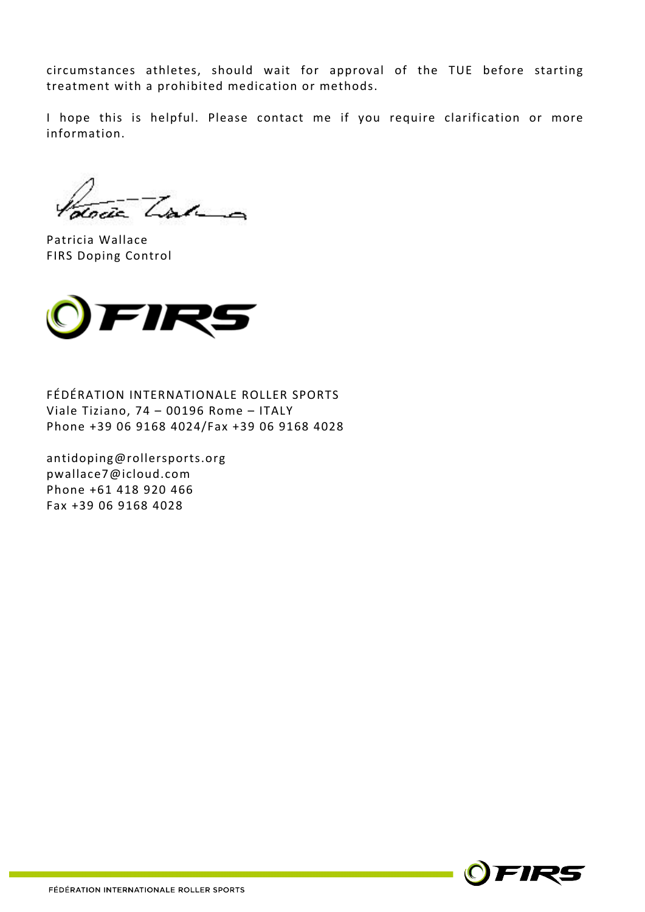circumstances athletes, should wait for approval of the TUE before starting treatment with a prohibited medication or methods.

I hope this is helpful. Please contact me if you require clarification or more information.

Trac

Patricia Wallace FIRS Doping Control



FÉDÉRATION INTERNATIONALE ROLLER SPORTS Viale Tiziano, 74 - 00196 Rome - ITALY Phone +39 06 9168 4024/Fax +39 06 9168 4028

antidoping@rollersports.org pwallace7@icloud.com Phone +61 418 920 466 Fax +39 06 9168 4028